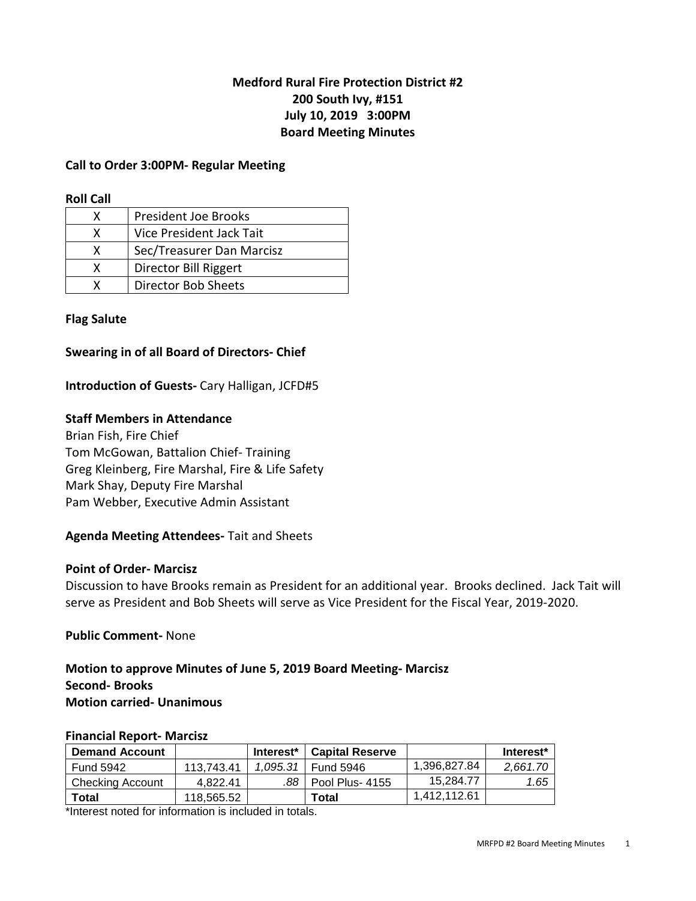# **Medford Rural Fire Protection District #2 200 South Ivy, #151 July 10, 2019 3:00PM Board Meeting Minutes**

### **Call to Order 3:00PM- Regular Meeting**

#### **Roll Call**

| x | <b>President Joe Brooks</b> |
|---|-----------------------------|
| x | Vice President Jack Tait    |
| x | Sec/Treasurer Dan Marcisz   |
| x | Director Bill Riggert       |
|   | <b>Director Bob Sheets</b>  |

### **Flag Salute**

### **Swearing in of all Board of Directors- Chief**

### **Introduction of Guests-** Cary Halligan, JCFD#5

### **Staff Members in Attendance**

Brian Fish, Fire Chief Tom McGowan, Battalion Chief- Training Greg Kleinberg, Fire Marshal, Fire & Life Safety Mark Shay, Deputy Fire Marshal Pam Webber, Executive Admin Assistant

### **Agenda Meeting Attendees-** Tait and Sheets

#### **Point of Order- Marcisz**

Discussion to have Brooks remain as President for an additional year. Brooks declined. Jack Tait will serve as President and Bob Sheets will serve as Vice President for the Fiscal Year, 2019-2020.

#### **Public Comment-** None

## **Motion to approve Minutes of June 5, 2019 Board Meeting- Marcisz Second- Brooks Motion carried- Unanimous**

#### **Financial Report- Marcisz**

| <b>Demand Account</b> |            | Interest* | <b>Capital Reserve</b> |              | Interest <sup>*</sup> |
|-----------------------|------------|-----------|------------------------|--------------|-----------------------|
| Fund 5942             | 113.743.41 | 1.095.31  | Fund 5946              | 1,396,827.84 | 2.661.70              |
| Checking Account      | 4.822.41   |           | .88   Pool Plus- 4155  | 15.284.77    | 1.65                  |
| Total                 | 118,565.52 |           | Total                  | 1.412.112.61 |                       |

\*Interest noted for information is included in totals.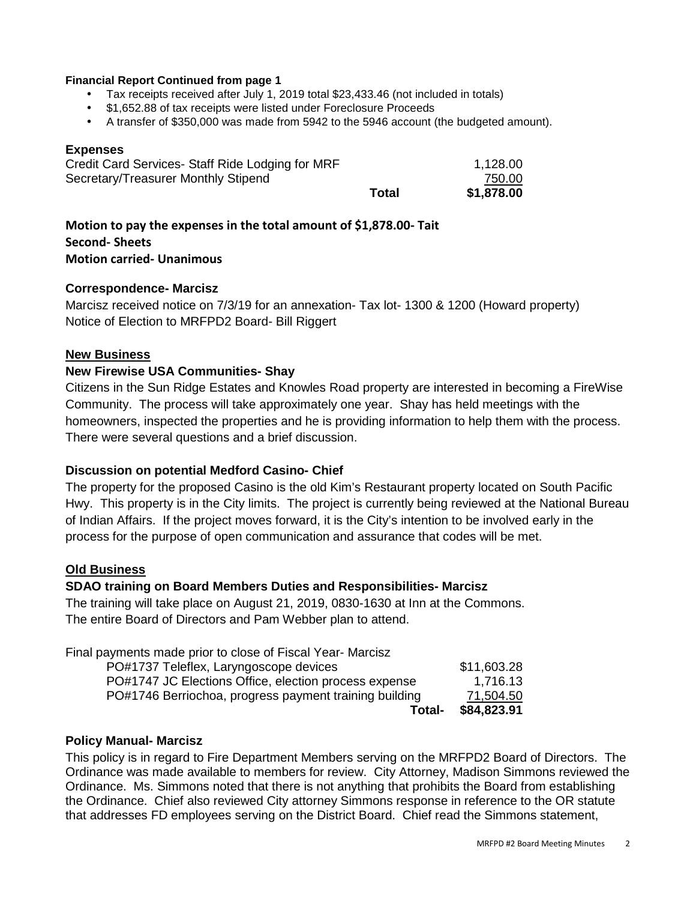#### **Financial Report Continued from page 1**

- Tax receipts received after July 1, 2019 total \$23,433.46 (not included in totals)
- \$1,652.88 of tax receipts were listed under Foreclosure Proceeds
- A transfer of \$350,000 was made from 5942 to the 5946 account (the budgeted amount).

#### **Expenses**

| Credit Card Services- Staff Ride Lodging for MRF<br>Secretary/Treasurer Monthly Stipend |       | 1,128.00<br>750.00 |
|-----------------------------------------------------------------------------------------|-------|--------------------|
|                                                                                         | Total | \$1,878.00         |

**Motion to pay the expenses in the total amount of \$1,878.00- Tait Second- Sheets Motion carried- Unanimous** 

### **Correspondence- Marcisz**

Marcisz received notice on 7/3/19 for an annexation- Tax lot- 1300 & 1200 (Howard property) Notice of Election to MRFPD2 Board- Bill Riggert

### **New Business**

### **New Firewise USA Communities- Shay**

Citizens in the Sun Ridge Estates and Knowles Road property are interested in becoming a FireWise Community. The process will take approximately one year. Shay has held meetings with the homeowners, inspected the properties and he is providing information to help them with the process. There were several questions and a brief discussion.

### **Discussion on potential Medford Casino- Chief**

The property for the proposed Casino is the old Kim's Restaurant property located on South Pacific Hwy. This property is in the City limits. The project is currently being reviewed at the National Bureau of Indian Affairs. If the project moves forward, it is the City's intention to be involved early in the process for the purpose of open communication and assurance that codes will be met.

#### **Old Business**

#### **SDAO training on Board Members Duties and Responsibilities- Marcisz**

The training will take place on August 21, 2019, 0830-1630 at Inn at the Commons. The entire Board of Directors and Pam Webber plan to attend.

| Total-                                                     | \$84,823.91 |
|------------------------------------------------------------|-------------|
| PO#1746 Berriochoa, progress payment training building     | 71,504.50   |
| PO#1747 JC Elections Office, election process expense      | 1,716.13    |
| PO#1737 Teleflex, Laryngoscope devices                     | \$11,603.28 |
| Final payments made prior to close of Fiscal Year- Marcisz |             |

#### **Policy Manual- Marcisz**

This policy is in regard to Fire Department Members serving on the MRFPD2 Board of Directors. The Ordinance was made available to members for review. City Attorney, Madison Simmons reviewed the Ordinance. Ms. Simmons noted that there is not anything that prohibits the Board from establishing the Ordinance. Chief also reviewed City attorney Simmons response in reference to the OR statute that addresses FD employees serving on the District Board. Chief read the Simmons statement,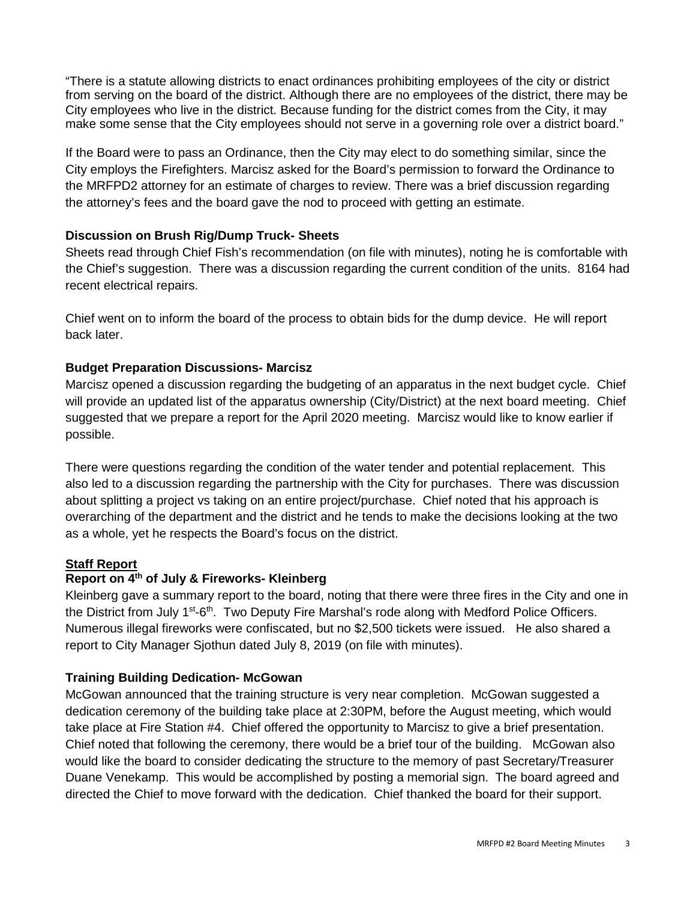"There is a statute allowing districts to enact ordinances prohibiting employees of the city or district from serving on the board of the district. Although there are no employees of the district, there may be City employees who live in the district. Because funding for the district comes from the City, it may make some sense that the City employees should not serve in a governing role over a district board."

If the Board were to pass an Ordinance, then the City may elect to do something similar, since the City employs the Firefighters. Marcisz asked for the Board's permission to forward the Ordinance to the MRFPD2 attorney for an estimate of charges to review. There was a brief discussion regarding the attorney's fees and the board gave the nod to proceed with getting an estimate.

# **Discussion on Brush Rig/Dump Truck- Sheets**

Sheets read through Chief Fish's recommendation (on file with minutes), noting he is comfortable with the Chief's suggestion. There was a discussion regarding the current condition of the units. 8164 had recent electrical repairs.

Chief went on to inform the board of the process to obtain bids for the dump device. He will report back later.

# **Budget Preparation Discussions- Marcisz**

Marcisz opened a discussion regarding the budgeting of an apparatus in the next budget cycle. Chief will provide an updated list of the apparatus ownership (City/District) at the next board meeting. Chief suggested that we prepare a report for the April 2020 meeting. Marcisz would like to know earlier if possible.

There were questions regarding the condition of the water tender and potential replacement. This also led to a discussion regarding the partnership with the City for purchases. There was discussion about splitting a project vs taking on an entire project/purchase. Chief noted that his approach is overarching of the department and the district and he tends to make the decisions looking at the two as a whole, yet he respects the Board's focus on the district.

# **Staff Report**

# **Report on 4th of July & Fireworks- Kleinberg**

Kleinberg gave a summary report to the board, noting that there were three fires in the City and one in the District from July  $1^{st}$ -6<sup>th</sup>. Two Deputy Fire Marshal's rode along with Medford Police Officers. Numerous illegal fireworks were confiscated, but no \$2,500 tickets were issued. He also shared a report to City Manager Sjothun dated July 8, 2019 (on file with minutes).

# **Training Building Dedication- McGowan**

McGowan announced that the training structure is very near completion. McGowan suggested a dedication ceremony of the building take place at 2:30PM, before the August meeting, which would take place at Fire Station #4. Chief offered the opportunity to Marcisz to give a brief presentation. Chief noted that following the ceremony, there would be a brief tour of the building. McGowan also would like the board to consider dedicating the structure to the memory of past Secretary/Treasurer Duane Venekamp. This would be accomplished by posting a memorial sign. The board agreed and directed the Chief to move forward with the dedication. Chief thanked the board for their support.